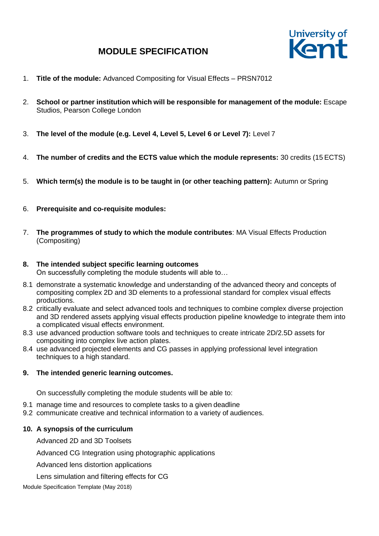

- 1. **Title of the module:** Advanced Compositing for Visual Effects PRSN7012
- 2. **School or partner institution which will be responsible for management of the module:** Escape Studios, Pearson College London
- 3. **The level of the module (e.g. Level 4, Level 5, Level 6 or Level 7):** Level 7
- 4. **The number of credits and the ECTS value which the module represents:** 30 credits (15 ECTS)
- 5. **Which term(s) the module is to be taught in (or other teaching pattern):** Autumn or Spring
- 6. **Prerequisite and co-requisite modules:**
- 7. **The programmes of study to which the module contributes**: MA Visual Effects Production (Compositing)
- **8. The intended subject specific learning outcomes** On successfully completing the module students will able to…
- 8.1 demonstrate a systematic knowledge and understanding of the advanced theory and concepts of compositing complex 2D and 3D elements to a professional standard for complex visual effects productions.
- 8.2 critically evaluate and select advanced tools and techniques to combine complex diverse projection and 3D rendered assets applying visual effects production pipeline knowledge to integrate them into a complicated visual effects environment.
- 8.3 use advanced production software tools and techniques to create intricate 2D/2.5D assets for compositing into complex live action plates.
- 8.4 use advanced projected elements and CG passes in applying professional level integration techniques to a high standard.

### **9. The intended generic learning outcomes.**

On successfully completing the module students will be able to:

- 9.1 manage time and resources to complete tasks to a given deadline
- 9.2 communicate creative and technical information to a variety of audiences.

### **10. A synopsis of the curriculum**

Advanced 2D and 3D Toolsets

Advanced CG Integration using photographic applications

Advanced lens distortion applications

Lens simulation and filtering effects for CG

Module Specification Template (May 2018)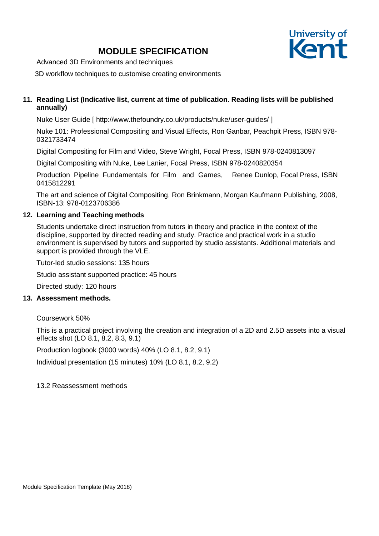

Advanced 3D Environments and techniques

3D workflow techniques to customise creating environments

## **11. Reading List (Indicative list, current at time of publication. Reading lists will be published annually)**

Nuke User Guide [ [http://www.thefoundry.co.uk/products/nuke/user-guides/ \]](http://www.thefoundry.co.uk/products/nuke/user-guides/)

Nuke 101: Professional Compositing and Visual Effects, Ron Ganbar, Peachpit Press, ISBN 978- 0321733474

Digital Compositing for Film and Video, Steve Wright, Focal Press, ISBN 978-0240813097

Digital Compositing with Nuke, Lee Lanier, Focal Press, ISBN 978-0240820354

Production Pipeline Fundamentals for Film and Games, Renee Dunlop, Focal Press, ISBN 0415812291

The art and science of Digital Compositing, Ron Brinkmann, Morgan Kaufmann Publishing, 2008, ISBN-13: 978-0123706386

### **12. Learning and Teaching methods**

Students undertake direct instruction from tutors in theory and practice in the context of the discipline, supported by directed reading and study. Practice and practical work in a studio environment is supervised by tutors and supported by studio assistants. Additional materials and support is provided through the VLE.

Tutor-led studio sessions: 135 hours

Studio assistant supported practice: 45 hours

Directed study: 120 hours

### **13. Assessment methods.**

Coursework 50%

This is a practical project involving the creation and integration of a 2D and 2.5D assets into a visual effects shot (LO 8.1, 8.2, 8.3, 9.1)

Production logbook (3000 words) 40% (LO 8.1, 8.2, 9.1)

Individual presentation (15 minutes) 10% (LO 8.1, 8.2, 9.2)

13.2 Reassessment methods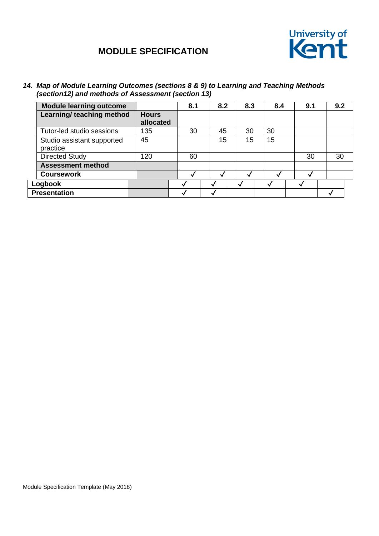

*14. Map of Module Learning Outcomes (sections 8 & 9) to Learning and Teaching Methods (section12) and methods of Assessment (section 13)*

| <b>Module learning outcome</b>         |                           | 8.1 | 8.2 | 8.3 | 8.4 | 9.1 | 9.2 |  |
|----------------------------------------|---------------------------|-----|-----|-----|-----|-----|-----|--|
| Learning/ teaching method              | <b>Hours</b><br>allocated |     |     |     |     |     |     |  |
| Tutor-led studio sessions              | 135                       | 30  | 45  | 30  | 30  |     |     |  |
| Studio assistant supported<br>practice | 45                        |     | 15  | 15  | 15  |     |     |  |
| <b>Directed Study</b>                  | 120                       | 60  |     |     |     | 30  | 30  |  |
| <b>Assessment method</b>               |                           |     |     |     |     |     |     |  |
| <b>Coursework</b>                      |                           |     |     |     |     |     |     |  |
| Logbook                                |                           |     |     |     |     |     |     |  |
| <b>Presentation</b>                    |                           |     |     |     |     |     |     |  |